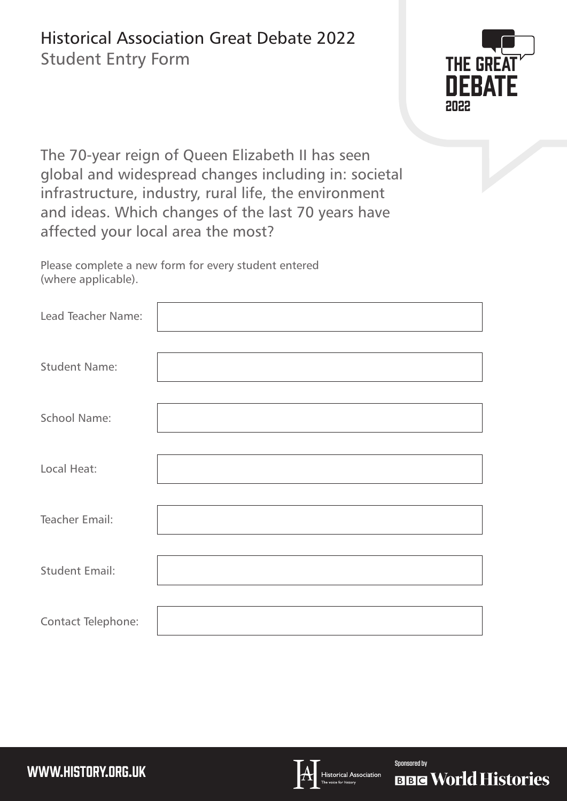## Historical Association Great Debate 2022

Student Entry Form



The 70-year reign of Queen Elizabeth II has seen global and widespread changes including in: societal infrastructure, industry, rural life, the environment and ideas. Which changes of the last 70 years have affected your local area the most?

Please complete a new form for every student entered (where applicable).

| Lead Teacher Name:    |  |
|-----------------------|--|
| <b>Student Name:</b>  |  |
| <b>School Name:</b>   |  |
| Local Heat:           |  |
| <b>Teacher Email:</b> |  |
| <b>Student Email:</b> |  |
| Contact Telephone:    |  |